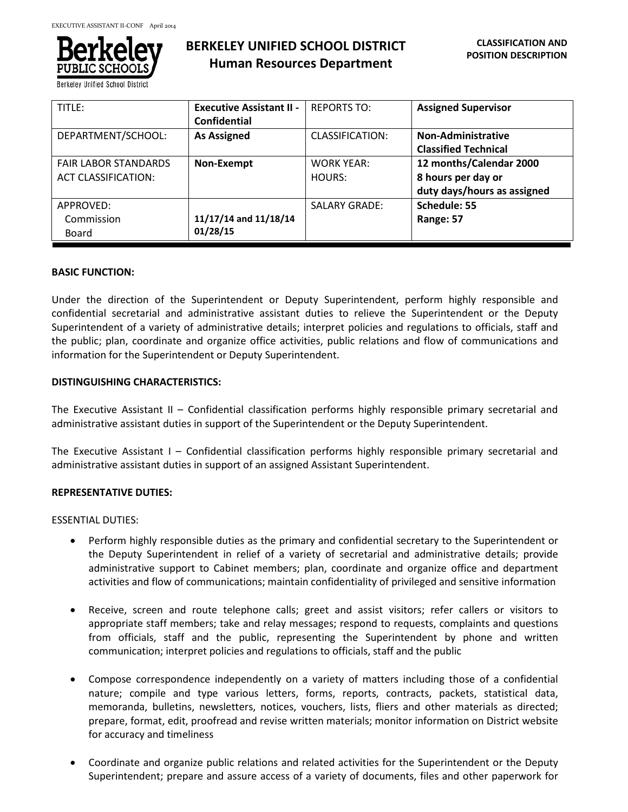

**Berkeley Unified School** 

| TITLE:                                             | <b>Executive Assistant II -</b><br>Confidential | <b>REPORTS TO:</b>          | <b>Assigned Supervisor</b>                                                   |
|----------------------------------------------------|-------------------------------------------------|-----------------------------|------------------------------------------------------------------------------|
| DEPARTMENT/SCHOOL:                                 | <b>As Assigned</b>                              | CLASSIFICATION:             | Non-Administrative<br><b>Classified Technical</b>                            |
| <b>FAIR LABOR STANDARDS</b><br>ACT CLASSIFICATION: | Non-Exempt                                      | <b>WORK YEAR:</b><br>HOURS: | 12 months/Calendar 2000<br>8 hours per day or<br>duty days/hours as assigned |
| APPROVED:<br>Commission<br>Board                   | 11/17/14 and 11/18/14<br>01/28/15               | <b>SALARY GRADE:</b>        | Schedule: 55<br>Range: 57                                                    |

#### **BASIC FUNCTION:**

Under the direction of the Superintendent or Deputy Superintendent, perform highly responsible and confidential secretarial and administrative assistant duties to relieve the Superintendent or the Deputy Superintendent of a variety of administrative details; interpret policies and regulations to officials, staff and the public; plan, coordinate and organize office activities, public relations and flow of communications and information for the Superintendent or Deputy Superintendent.

#### **DISTINGUISHING CHARACTERISTICS:**

The Executive Assistant II – Confidential classification performs highly responsible primary secretarial and administrative assistant duties in support of the Superintendent or the Deputy Superintendent.

The Executive Assistant I – Confidential classification performs highly responsible primary secretarial and administrative assistant duties in support of an assigned Assistant Superintendent.

# **REPRESENTATIVE DUTIES:**

ESSENTIAL DUTIES:

- Perform highly responsible duties as the primary and confidential secretary to the Superintendent or the Deputy Superintendent in relief of a variety of secretarial and administrative details; provide administrative support to Cabinet members; plan, coordinate and organize office and department activities and flow of communications; maintain confidentiality of privileged and sensitive information
- Receive, screen and route telephone calls; greet and assist visitors; refer callers or visitors to appropriate staff members; take and relay messages; respond to requests, complaints and questions from officials, staff and the public, representing the Superintendent by phone and written communication; interpret policies and regulations to officials, staff and the public
- Compose correspondence independently on a variety of matters including those of a confidential nature; compile and type various letters, forms, reports, contracts, packets, statistical data, memoranda, bulletins, newsletters, notices, vouchers, lists, fliers and other materials as directed; prepare, format, edit, proofread and revise written materials; monitor information on District website for accuracy and timeliness
- Coordinate and organize public relations and related activities for the Superintendent or the Deputy Superintendent; prepare and assure access of a variety of documents, files and other paperwork for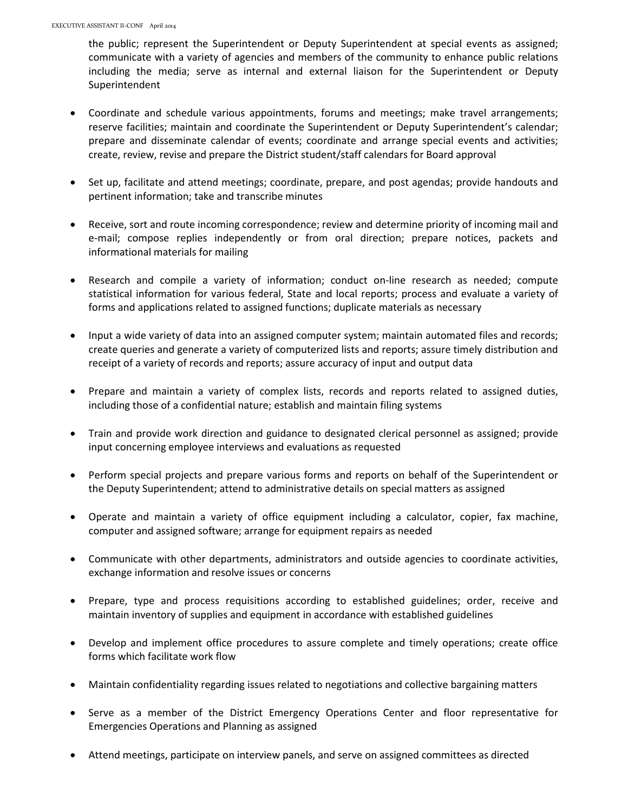the public; represent the Superintendent or Deputy Superintendent at special events as assigned; communicate with a variety of agencies and members of the community to enhance public relations including the media; serve as internal and external liaison for the Superintendent or Deputy Superintendent

- Coordinate and schedule various appointments, forums and meetings; make travel arrangements; reserve facilities; maintain and coordinate the Superintendent or Deputy Superintendent's calendar; prepare and disseminate calendar of events; coordinate and arrange special events and activities; create, review, revise and prepare the District student/staff calendars for Board approval
- Set up, facilitate and attend meetings; coordinate, prepare, and post agendas; provide handouts and pertinent information; take and transcribe minutes
- Receive, sort and route incoming correspondence; review and determine priority of incoming mail and e-mail; compose replies independently or from oral direction; prepare notices, packets and informational materials for mailing
- Research and compile a variety of information; conduct on-line research as needed; compute statistical information for various federal, State and local reports; process and evaluate a variety of forms and applications related to assigned functions; duplicate materials as necessary
- Input a wide variety of data into an assigned computer system; maintain automated files and records; create queries and generate a variety of computerized lists and reports; assure timely distribution and receipt of a variety of records and reports; assure accuracy of input and output data
- Prepare and maintain a variety of complex lists, records and reports related to assigned duties, including those of a confidential nature; establish and maintain filing systems
- Train and provide work direction and guidance to designated clerical personnel as assigned; provide input concerning employee interviews and evaluations as requested
- Perform special projects and prepare various forms and reports on behalf of the Superintendent or the Deputy Superintendent; attend to administrative details on special matters as assigned
- Operate and maintain a variety of office equipment including a calculator, copier, fax machine, computer and assigned software; arrange for equipment repairs as needed
- Communicate with other departments, administrators and outside agencies to coordinate activities, exchange information and resolve issues or concerns
- Prepare, type and process requisitions according to established guidelines; order, receive and maintain inventory of supplies and equipment in accordance with established guidelines
- Develop and implement office procedures to assure complete and timely operations; create office forms which facilitate work flow
- Maintain confidentiality regarding issues related to negotiations and collective bargaining matters
- Serve as a member of the District Emergency Operations Center and floor representative for Emergencies Operations and Planning as assigned
- Attend meetings, participate on interview panels, and serve on assigned committees as directed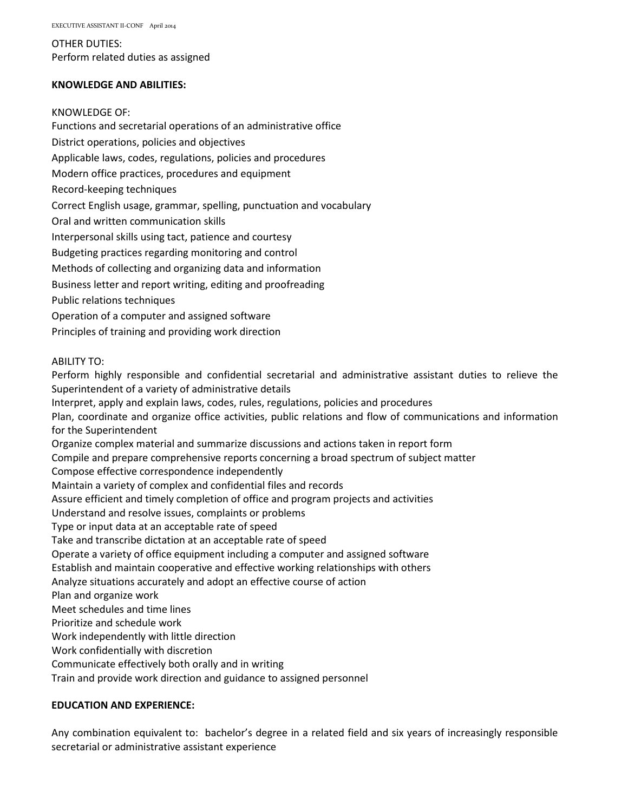OTHER DUTIES: Perform related duties as assigned

# **KNOWLEDGE AND ABILITIES:**

## KNOWLEDGE OF:

Functions and secretarial operations of an administrative office District operations, policies and objectives Applicable laws, codes, regulations, policies and procedures Modern office practices, procedures and equipment Record-keeping techniques Correct English usage, grammar, spelling, punctuation and vocabulary Oral and written communication skills Interpersonal skills using tact, patience and courtesy Budgeting practices regarding monitoring and control Methods of collecting and organizing data and information Business letter and report writing, editing and proofreading Public relations techniques Operation of a computer and assigned software Principles of training and providing work direction

## ABILITY TO:

Perform highly responsible and confidential secretarial and administrative assistant duties to relieve the Superintendent of a variety of administrative details Interpret, apply and explain laws, codes, rules, regulations, policies and procedures Plan, coordinate and organize office activities, public relations and flow of communications and information for the Superintendent Organize complex material and summarize discussions and actions taken in report form Compile and prepare comprehensive reports concerning a broad spectrum of subject matter Compose effective correspondence independently Maintain a variety of complex and confidential files and records Assure efficient and timely completion of office and program projects and activities Understand and resolve issues, complaints or problems Type or input data at an acceptable rate of speed Take and transcribe dictation at an acceptable rate of speed Operate a variety of office equipment including a computer and assigned software Establish and maintain cooperative and effective working relationships with others Analyze situations accurately and adopt an effective course of action Plan and organize work Meet schedules and time lines Prioritize and schedule work Work independently with little direction Work confidentially with discretion Communicate effectively both orally and in writing Train and provide work direction and guidance to assigned personnel

# **EDUCATION AND EXPERIENCE:**

Any combination equivalent to: bachelor's degree in a related field and six years of increasingly responsible secretarial or administrative assistant experience